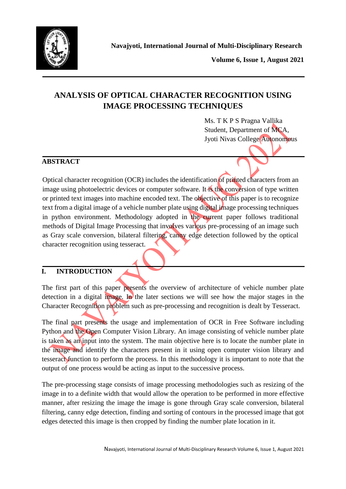

**Volume 6, Issue 1, August 2021**

# **ANALYSIS OF OPTICAL CHARACTER RECOGNITION USING IMAGE PROCESSING TECHNIQUES**

Ms. T K P S Pragna Vallika Student, Department of MCA, Jyoti Nivas College Autonomous

## **ABSTRACT**

Optical character recognition (OCR) includes the identification of printed characters from an image using photoelectric devices or computer software. It is the conversion of type written or printed text images into machine encoded text. The objective of this paper is to recognize text from a digital image of a vehicle number plate using digital image processing techniques in python environment. Methodology adopted in the current paper follows traditional methods of Digital Image Processing that involves various pre-processing of an image such as Gray scale conversion, bilateral filtering, canny edge detection followed by the optical character recognition using tesseract.

## **I. INTRODUCTION**

The first part of this paper presents the overview of architecture of vehicle number plate detection in a digital image. In the later sections we will see how the major stages in the Character Recognition problem such as pre-processing and recognition is dealt by Tesseract.

The final part presents the usage and implementation of OCR in Free Software including Python and the Open Computer Vision Library. An image consisting of vehicle number plate is taken as an input into the system. The main objective here is to locate the number plate in the image and identify the characters present in it using open computer vision library and tesseract function to perform the process. In this methodology it is important to note that the output of one process would be acting as input to the successive process.

The pre-processing stage consists of image processing methodologies such as resizing of the image in to a definite width that would allow the operation to be performed in more effective manner, after resizing the image the image is gone through Gray scale conversion, bilateral filtering, canny edge detection, finding and sorting of contours in the processed image that got edges detected this image is then cropped by finding the number plate location in it.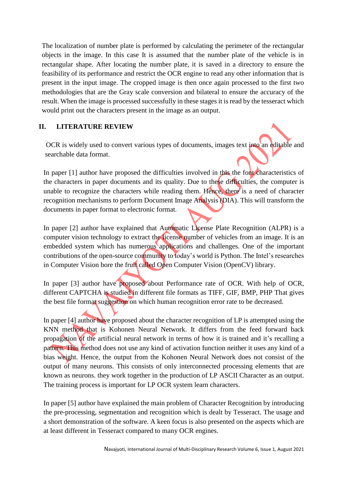The localization of number plate is performed by calculating the perimeter of the rectangular objects in the image. In this case It is assumed that the number plate of the vehicle is in rectangular shape. After locating the number plate, it is saved in a directory to ensure the feasibility of its performance and restrict the OCR engine to read any other information that is present in the input image. The cropped image is then once again processed to the first two methodologies that are the Gray scale conversion and bilateral to ensure the accuracy of the result. When the image is processed successfully in these stages it is read by the tesseract which would print out the characters present in the image as an output.

## **II. LITERATURE REVIEW**

OCR is widely used to convert various types of documents, images text into an editable and searchable data format.

In paper [1] author have proposed the difficulties involved in this the font characteristics of the characters in paper documents and its quality. Due to these difficulties, the computer is unable to recognize the characters while reading them. Hence, there is a need of character recognition mechanisms to perform Document Image Analysis (DIA). This will transform the documents in paper format to electronic format.

In paper [2] author have explained that Automatic License Plate Recognition (ALPR) is a computer vision technology to extract the license number of vehicles from an image. It is an embedded system which has numerous applications and challenges. One of the important contributions of the open-source community to today's world is Python. The Intel's researches in Computer Vision bore the fruit called Open Computer Vision (OpenCV) library.

In paper [3] author have proposed about Performance rate of OCR. With help of OCR, different CAPTCHA is studied in different file formats as TIFF, GIF, BMP, PHP That gives the best file format suggestion on which human recognition error rate to be decreased.

In paper [4] author have proposed about the character recognition of LP is attempted using the KNN method that is Kohonen Neural Network. It differs from the feed forward back propagation of the artificial neural network in terms of how it is trained and it's recalling a pattern. This method does not use any kind of activation function neither it uses any kind of a bias weight. Hence, the output from the Kohonen Neural Network does not consist of the output of many neurons. This consists of only interconnected processing elements that are known as neurons. they work together in the production of LP ASCII Character as an output. The training process is important for LP OCR system learn characters.

In paper [5] author have explained the main problem of Character Recognition by introducing the pre-processing, segmentation and recognition which is dealt by Tesseract. The usage and a short demonstration of the software. A keen focus is also presented on the aspects which are at least different in Tesseract compared to many OCR engines.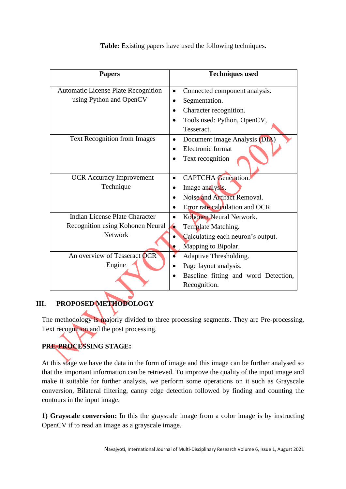| <b>Papers</b>                              | <b>Techniques used</b>                     |
|--------------------------------------------|--------------------------------------------|
| <b>Automatic License Plate Recognition</b> | Connected component analysis.<br>$\bullet$ |
| using Python and OpenCV                    | Segmentation.                              |
|                                            | Character recognition.                     |
|                                            | Tools used: Python, OpenCV,                |
|                                            | Tesseract.                                 |
| Text Recognition from Images               | Document image Analysis (DIA)<br>$\bullet$ |
|                                            | Electronic format                          |
|                                            | Text recognition                           |
| <b>OCR</b> Accuracy Improvement            | <b>CAPTCHA</b> Generation.<br>$\bullet$    |
| Technique                                  | Image analysis.                            |
|                                            | Noise and Artifact Removal.                |
|                                            | Error rate calculation and OCR             |
| <b>Indian License Plate Character</b>      | Kohonen Neural Network.<br>$\bullet$       |
| Recognition using Kohonen Neural           | Template Matching.                         |
| <b>Network</b>                             | Calculating each neuron's output.          |
|                                            | Mapping to Bipolar.                        |
| An overview of Tesseract OCR               | Adaptive Thresholding.                     |
| Engine                                     | Page layout analysis.                      |
|                                            | Baseline fitting and word Detection,       |
|                                            | Recognition.                               |

**Table:** Existing papers have used the following techniques.

# **III. PROPOSED METHODOLOGY**

The methodology is majorly divided to three processing segments. They are Pre-processing, Text recognition and the post processing.

# **PRE-PROCESSING STAGE:**

At this stage we have the data in the form of image and this image can be further analysed so that the important information can be retrieved. To improve the quality of the input image and make it suitable for further analysis, we perform some operations on it such as Grayscale conversion, Bilateral filtering, canny edge detection followed by finding and counting the contours in the input image.

**1) Grayscale conversion:** In this the grayscale image from a color image is by instructing OpenCV if to read an image as a grayscale image.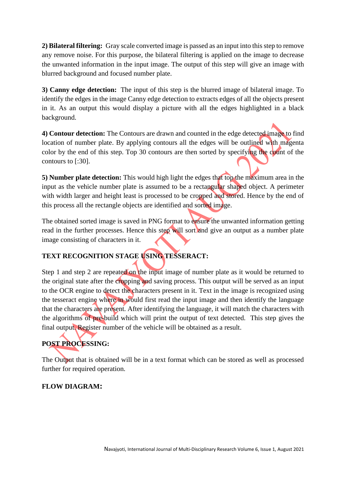**2) Bilateral filtering:** Gray scale converted image is passed as an input into this step to remove any remove noise. For this purpose, the bilateral filtering is applied on the image to decrease the unwanted information in the input image. The output of this step will give an image with blurred background and focused number plate.

**3) Canny edge detection:** The input of this step is the blurred image of bilateral image. To identify the edges in the image Canny edge detection to extracts edges of all the objects present in it. As an output this would display a picture with all the edges highlighted in a black background.

**4) Contour detection:** The Contours are drawn and counted in the edge detected image to find location of number plate. By applying contours all the edges will be outlined with magenta color by the end of this step. Top 30 contours are then sorted by specifying the count of the contours to [:30].

**5) Number plate detection:** This would high light the edges that top the maximum area in the input as the vehicle number plate is assumed to be a rectangular shaped object. A perimeter with width larger and height least is processed to be cropped and stored. Hence by the end of this process all the rectangle objects are identified and sorted image.

The obtained sorted image is saved in PNG format to ensure the unwanted information getting read in the further processes. Hence this step will sort and give an output as a number plate image consisting of characters in it.

# **TEXT RECOGNITION STAGE USING TESSERACT:**

Step 1 and step 2 are repeated on the input image of number plate as it would be returned to the original state after the cropping and saving process. This output will be served as an input to the OCR engine to detect the characters present in it. Text in the image is recognized using the tesseract engine where in would first read the input image and then identify the language that the characters are present. After identifying the language, it will match the characters with the algorithms of pre-build which will print the output of text detected. This step gives the final output. Register number of the vehicle will be obtained as a result.

# **POST PROCESSING:**

The Output that is obtained will be in a text format which can be stored as well as processed further for required operation.

# **FLOW DIAGRAM:**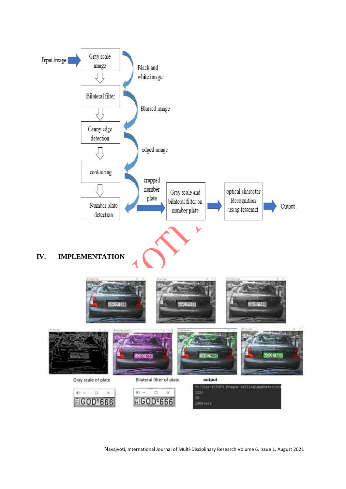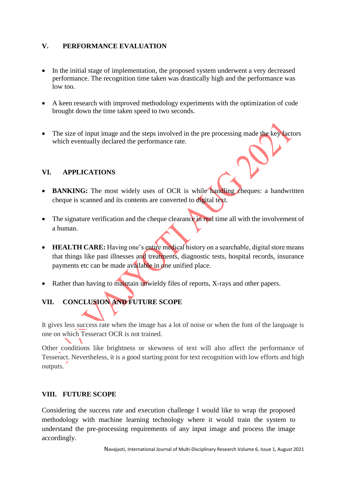## **V. PERFORMANCE EVALUATION**

- In the initial stage of implementation, the proposed system underwent a very decreased performance. The recognition time taken was drastically high and the performance was low too.
- A keen research with improved methodology experiments with the optimization of code brought down the time taken speed to two seconds.
- The size of input image and the steps involved in the pre processing made the key factors which eventually declared the performance rate.

## **VI. APPLICATIONS**

- **BANKING:** The most widely uses of OCR is while handling cheques: a handwritten cheque is scanned and its contents are converted to digital text.
- The signature verification and the cheque clearance in real time all with the involvement of a human.
- **HEALTH CARE:** Having one's entire medical history on a searchable, digital store means that things like past illnesses and treatments, diagnostic tests, hospital records, insurance payments etc can be made available in one unified place.
- Rather than having to maintain unwieldy files of reports, X-rays and other papers.

# **VII. CONCLUSION AND FUTURE SCOPE**

It gives less success rate when the image has a lot of noise or when the font of the language is one on which Tesseract OCR is not trained.

Other conditions like brightness or skewness of text will also affect the performance of Tesseract. Nevertheless, it is a good starting point for text recognition with low efforts and high outputs.

#### **VIII. FUTURE SCOPE**

Considering the success rate and execution challenge I would like to wrap the proposed methodology with machine learning technology where it would train the system to understand the pre-processing requirements of any input image and process the image accordingly.